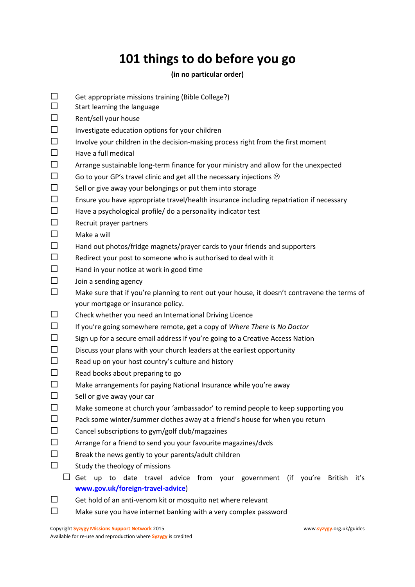## **101 things to do before you go**

## **(in no particular order)**

- $\square$  Get appropriate missions training (Bible College?)
- $\square$  Start learning the language
- $\square$  Rent/sell your house
- $\square$  Investigate education options for your children
- $\square$  Involve your children in the decision-making process right from the first moment
- $\Box$  Have a full medical
- $\square$  Arrange sustainable long-term finance for your ministry and allow for the unexpected
- $\square$  Go to your GP's travel clinic and get all the necessary injections  $\odot$
- $\square$  Sell or give away your belongings or put them into storage
- $\square$  Ensure you have appropriate travel/health insurance including repatriation if necessary
- $\Box$  Have a psychological profile/ do a personality indicator test
- $\square$  Recruit prayer partners
- $\square$  Make a will
- $\square$  Hand out photos/fridge magnets/prayer cards to your friends and supporters
- $\square$  Redirect your post to someone who is authorised to deal with it
- $\Box$  Hand in your notice at work in good time
- $\square$  Join a sending agency
- $\square$  Make sure that if you're planning to rent out your house, it doesn't contravene the terms of your mortgage or insurance policy.
- $\square$  Check whether you need an International Driving Licence
- If you're going somewhere remote, get a copy of *Where There Is No Doctor*
- $\square$  Sign up for a secure email address if you're going to a Creative Access Nation
- $\square$  Discuss your plans with your church leaders at the earliest opportunity
- $\square$  Read up on your host country's culture and history
- $\Box$  Read books about preparing to go
- $\square$  Make arrangements for paying National Insurance while you're away
- $\Box$  Sell or give away your car
- $\square$  Make someone at church your 'ambassador' to remind people to keep supporting you
- $\square$  Pack some winter/summer clothes away at a friend's house for when you return
- $\square$  Cancel subscriptions to gym/golf club/magazines
- $\square$  Arrange for a friend to send you your favourite magazines/dvds
- $\square$  Break the news gently to your parents/adult children
- $\Box$  Study the theology of missions
	- $\Box$  Get up to date travel advice from your government (if you're British it's **[www.gov.uk/foreign-travel-advice](http://www.gov.uk/foreign-travel-advice)**)
- $\square$  Get hold of an anti-venom kit or mosquito net where relevant
- $\square$  Make sure you have internet banking with a very complex password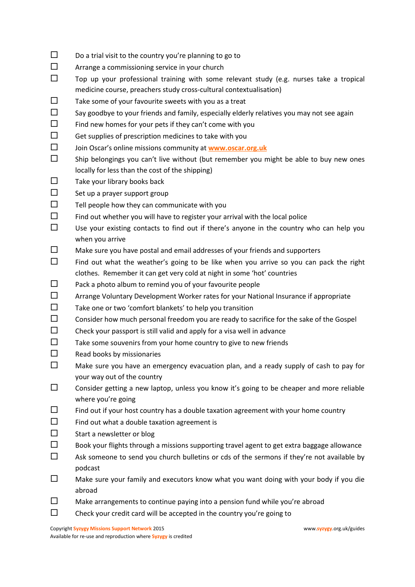- $\square$  Do a trial visit to the country you're planning to go to
- $\square$  Arrange a commissioning service in your church
- $\square$  Top up your professional training with some relevant study (e.g. nurses take a tropical medicine course, preachers study cross-cultural contextualisation)
- $\square$  Take some of your favourite sweets with you as a treat
- $\square$  Say goodbye to your friends and family, especially elderly relatives you may not see again
- $\square$  Find new homes for your pets if they can't come with you
- $\square$  Get supplies of prescription medicines to take with you
- Join Oscar's online missions community at **[www.oscar.org.uk](http://www.oscar.org.uk/)**
- $\square$  Ship belongings you can't live without (but remember you might be able to buy new ones locally for less than the cost of the shipping)
- $\Box$  Take your library books back
- $\square$  Set up a prayer support group
- $\square$  Tell people how they can communicate with you
- $\square$  Find out whether you will have to register your arrival with the local police
- $\square$  Use your existing contacts to find out if there's anyone in the country who can help you when you arrive
- $\square$  Make sure you have postal and email addresses of your friends and supporters
- $\square$  Find out what the weather's going to be like when you arrive so you can pack the right clothes. Remember it can get very cold at night in some 'hot' countries
- $\square$  Pack a photo album to remind you of your favourite people
- $\square$  Arrange Voluntary Development Worker rates for your National Insurance if appropriate
- $\square$  Take one or two 'comfort blankets' to help you transition
- $\square$  Consider how much personal freedom you are ready to sacrifice for the sake of the Gospel
- $\square$  Check your passport is still valid and apply for a visa well in advance
- $\Box$  Take some souvenirs from your home country to give to new friends
- $\square$  Read books by missionaries
- $\square$  Make sure you have an emergency evacuation plan, and a ready supply of cash to pay for your way out of the country
- $\square$  Consider getting a new laptop, unless you know it's going to be cheaper and more reliable where you're going
- $\Box$  Find out if your host country has a double taxation agreement with your home country
- $\square$  Find out what a double taxation agreement is
- $\square$  Start a newsletter or blog
- $\square$  Book your flights through a missions supporting travel agent to get extra baggage allowance
- $\square$  Ask someone to send you church bulletins or cds of the sermons if they're not available by podcast
- $\Box$  Make sure your family and executors know what you want doing with your body if you die abroad
- $\square$  Make arrangements to continue paying into a pension fund while you're abroad
- $\square$  Check your credit card will be accepted in the country you're going to